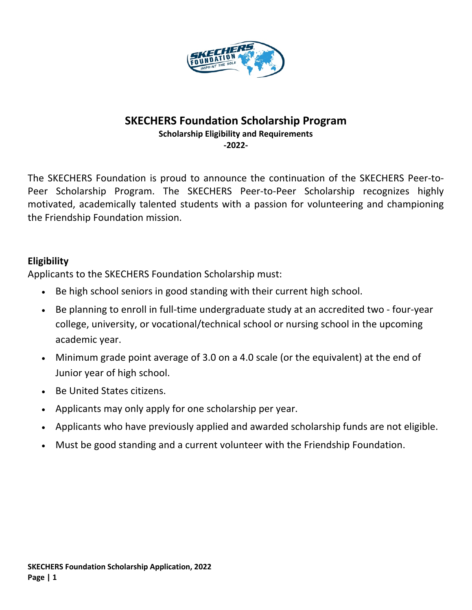

## **SKECHERS Foundation Scholarship Program**

**Scholarship Eligibility and Requirements**

**-2022-**

The SKECHERS Foundation is proud to announce the continuation of the SKECHERS Peer-to-Peer Scholarship Program. The SKECHERS Peer-to-Peer Scholarship recognizes highly motivated, academically talented students with a passion for volunteering and championing the Friendship Foundation mission.

### **Eligibility**

Applicants to the SKECHERS Foundation Scholarship must:

- Be high school seniors in good standing with their current high school.
- Be planning to enroll in full-time undergraduate study at an accredited two four-year college, university, or vocational/technical school or nursing school in the upcoming academic year.
- Minimum grade point average of 3.0 on a 4.0 scale (or the equivalent) at the end of Junior year of high school.
- Be United States citizens.
- Applicants may only apply for one scholarship per year.
- Applicants who have previously applied and awarded scholarship funds are not eligible.
- Must be good standing and a current volunteer with the Friendship Foundation.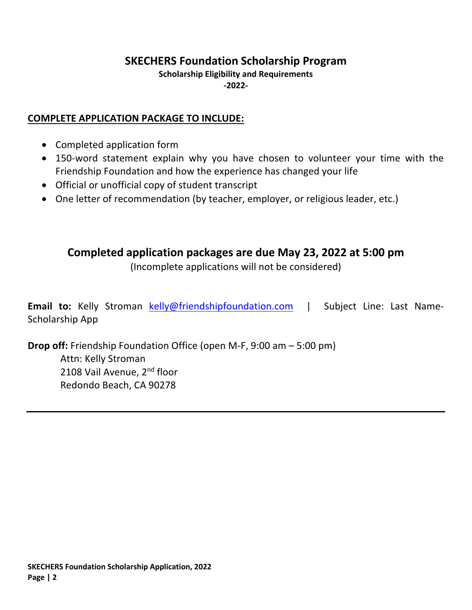# **SKECHERS Foundation Scholarship Program**

### **Scholarship Eligibility and Requirements -2022-**

### **COMPLETE APPLICATION PACKAGE TO INCLUDE:**

- Completed application form
- 150-word statement explain why you have chosen to volunteer your time with the Friendship Foundation and how the experience has changed your life
- Official or unofficial copy of student transcript
- One letter of recommendation (by teacher, employer, or religious leader, etc.)

# **Completed application packages are due May 23, 2022 at 5:00 pm**

(Incomplete applications will not be considered)

**Email to:** Kelly Stroman kelly@friendshipfoundation.com | Subject Line: Last Name-Scholarship App

**Drop off:** Friendship Foundation Office (open M-F, 9:00 am – 5:00 pm) Attn: Kelly Stroman 2108 Vail Avenue, 2<sup>nd</sup> floor Redondo Beach, CA 90278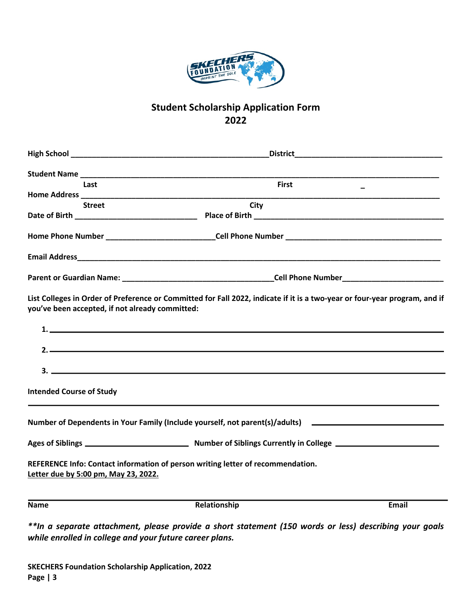

## **Student Scholarship Application Form 2022**

| Last                                            | <b>First</b>                                                                                                               |       |
|-------------------------------------------------|----------------------------------------------------------------------------------------------------------------------------|-------|
|                                                 |                                                                                                                            |       |
| <b>Street</b>                                   | City                                                                                                                       |       |
|                                                 |                                                                                                                            |       |
|                                                 |                                                                                                                            |       |
|                                                 |                                                                                                                            |       |
| you've been accepted, if not already committed: | List Colleges in Order of Preference or Committed for Fall 2022, indicate if it is a two-year or four-year program, and if |       |
|                                                 |                                                                                                                            |       |
|                                                 | $\overline{\phantom{a}}$                                                                                                   |       |
|                                                 | $3.$ $\overline{\phantom{a}}$                                                                                              |       |
| <b>Intended Course of Study</b>                 |                                                                                                                            |       |
|                                                 | Number of Dependents in Your Family (Include yourself, not parent(s)/adults) _______________________                       |       |
|                                                 |                                                                                                                            |       |
| Letter due by 5:00 pm, May 23, 2022.            | REFERENCE Info: Contact information of person writing letter of recommendation.                                            |       |
| <b>Name</b>                                     | Relationship                                                                                                               | Email |
|                                                 |                                                                                                                            |       |

*\*\*In a separate attachment, please provide a short statement (150 words or less) describing your goals while enrolled in college and your future career plans.*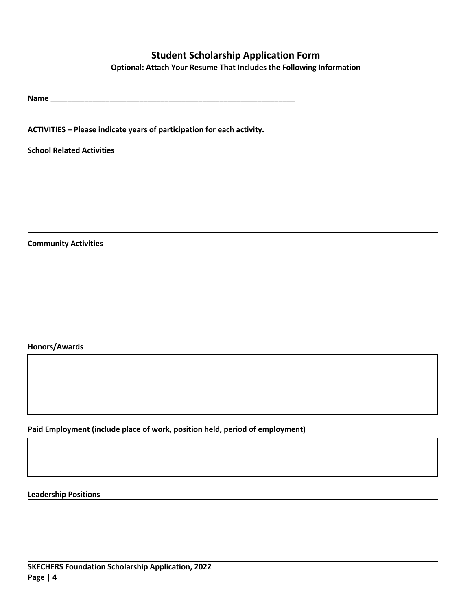### **Student Scholarship Application Form**

**Optional: Attach Your Resume That Includes the Following Information**

**Name \_\_\_\_\_\_\_\_\_\_\_\_\_\_\_\_\_\_\_\_\_\_\_\_\_\_\_\_\_\_\_\_\_\_\_\_\_\_\_\_\_\_\_\_\_\_\_\_\_\_\_\_\_\_\_\_\_\_**

**ACTIVITIES – Please indicate years of participation for each activity.**

**School Related Activities**

#### **Community Activities**

#### **Honors/Awards**

**Paid Employment (include place of work, position held, period of employment)**

### **Leadership Positions**